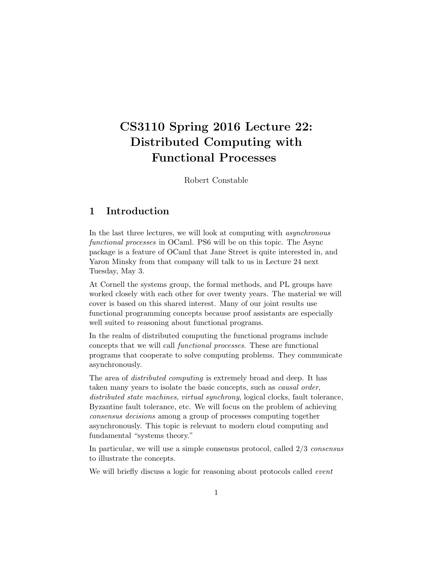#### CS3110 Spring 2016 Lecture 22: Distributed Computing with Functional Processes

Robert Constable

#### 1 Introduction

In the last three lectures, we will look at computing with asynchronous functional processes in OCaml. PS6 will be on this topic. The Async package is a feature of OCaml that Jane Street is quite interested in, and Yaron Minsky from that company will talk to us in Lecture 24 next Tuesday, May 3.

At Cornell the systems group, the formal methods, and PL groups have worked closely with each other for over twenty years. The material we will cover is based on this shared interest. Many of our joint results use functional programming concepts because proof assistants are especially well suited to reasoning about functional programs.

In the realm of distributed computing the functional programs include concepts that we will call functional processes. These are functional programs that cooperate to solve computing problems. They communicate asynchronously.

The area of distributed computing is extremely broad and deep. It has taken many years to isolate the basic concepts, such as causal order, distributed state machines, virtual synchrony, logical clocks, fault tolerance, Byzantine fault tolerance, etc. We will focus on the problem of achieving consensus decisions among a group of processes computing together asynchronously. This topic is relevant to modern cloud computing and fundamental "systems theory."

In particular, we will use a simple consensus protocol, called 2/3 consensus to illustrate the concepts.

We will briefly discuss a logic for reasoning about protocols called *event*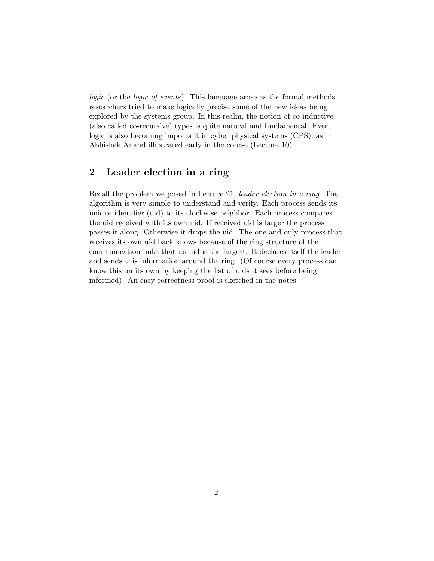logic (or the logic of events). This language arose as the formal methods researchers tried to make logically precise some of the new ideas being explored by the systems group. In this realm, the notion of co-inductive (also called co-recursive) types is quite natural and fundamental. Event logic is also becoming important in cyber physical systems (CPS). as Abhishek Anand illustrated early in the course (Lecture 10).

#### 2 Leader election in a ring

Recall the problem we posed in Lecture 21, leader election in a ring. The algorithm is very simple to understand and verify. Each process sends its unique identifier (uid) to its clockwise neighbor. Each process compares the uid received with its own uid. If received uid is larger the process passes it along. Otherwise it drops the uid. The one and only process that receives its own uid back knows because of the ring structure of the communication links that its uid is the largest. It declares itself the leader and sends this information around the ring. (Of course every process can know this on its own by keeping the list of uids it sees before being informed). An easy correctness proof is sketched in the notes.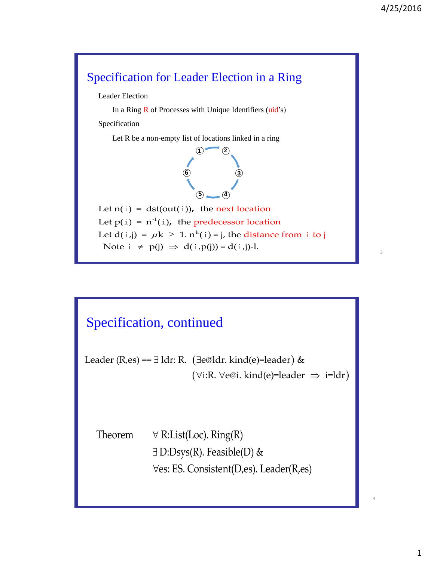3



Leader Election

In a Ring  $\overline{R}$  of Processes with Unique Identifiers (uid's)

Specification

Let R be a non-empty list of locations linked in a ring



 $\geq$ = n<sup>-1</sup>(i), the pre<br>
=  $\mu$ k ≥ 1. n<sup>k</sup>(i<br>
≠ p(j) ⇒ d(i,p(  $\begin{array}{rcl} \text{(5)} & \text{(6)} \\ \text{Let } n(i) = \text{dst}(\text{out}(i)), \text{ the} \\ \text{Let } n(i) = n^{-1}(i), \text{ the } \text{pred} \end{array}$ i) = dst(ou<br>i) =  $n^{-1}(i)$ , i) = dst(out(i)), th<br>i) = n<sup>-1</sup>(i), the pre-<br>i,j) =  $\mu$ k ≥ 1. n<sup>k</sup>(i  $\mu$ ) = n<sup>-1</sup>(i), the predecessor<br>  $\mu$ <sub>i</sub>,j) =  $\mu$ k ≥ 1. n<sup>k</sup>(i) = j, the<br>
i ≠ p(j) ⇒ d(i,p(j)) = d(i  $k(i) = j$ , the distance from i -1 Let  $n(i) = \text{dst}(\text{out}(i)),$ <br>Let  $p(i) = n^{-1}(i),$  the Let  $n(\perp) = \text{dist}(\text{out}(\perp))$ , the next is<br>
Let  $p(i) = n^{-1}(i)$ , the predecessor<br>
Let  $d(i,j) = \mu k \ge 1$ .  $n^k(i) = j$ , the<br>
Note  $i \ne p(i) \Rightarrow d(i, p(i)) = d(i)$ next location predecessor location distance from i to Let  $p(\underline{i}) = n^2(\underline{i})$ , the predecessor loc<br>
Let  $d(\underline{i}, \underline{j}) = \mu k \ge 1$ .  $n^k(\underline{i}) = \underline{j}$ , the dist<br>
Note  $\underline{i} \ne p(\underline{j}) \Rightarrow d(\underline{i}, p(\underline{j})) = d(\underline{i}, \underline{j}) - 1$ .  $\mu k \geq 1$ .  $n^k(i)$  = j, the distance from i to j Note  $i \neq p(j) \Rightarrow d(i,p(j)) = d(i,j) - 1$ .

## Specification, continued (∃e@ldr. kind(e)=leader)  $(\forall$ i:R. ∀e@i. kind(e)=leader  $\Rightarrow$  i=ldr) Leader (R,es) ==  $\exists$  ldr: R. ( $\exists$ e@ldr. kind(e)=leader) & Leader (R,es) ==  $\exists$  ldr: R. ( $\exists$ e@ldr. kind(e)=leader ) &<br>( $\forall$ i:R.  $\forall$ e@i. kind(e)=leader  $\Rightarrow$  i=ldr <del>n, commaca</del><br>∃1dr: R. (∃e@ldr. kin ∃e@ldr. kind(e)=leader) &<br>∀i:R. ∀e@i. kind(e)=leader  $\Rightarrow$  i=ldr) Theorem  $\forall$  R:List(Loc). Ring(R) D:Dsys(R). Feasible(D) & es: ES. Consistent(D,es). Leader(R,es)

4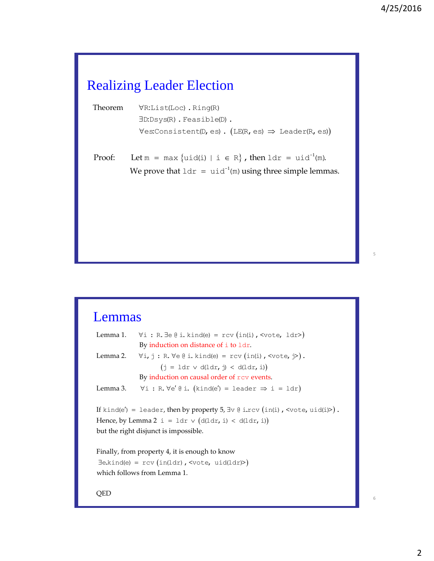5

6

| <b>Realizing Leader Election</b> |                                                                                                                                                     |  |
|----------------------------------|-----------------------------------------------------------------------------------------------------------------------------------------------------|--|
| Theorem                          | $\forall$ R:List(Loc). Ring(R)<br>$\exists D:DSys(R)$ . Feasible $(D)$ .<br>$\forall$ es:Consistent(D, es). (LE(R, es) $\Rightarrow$ Leader(R, es)) |  |
| Proof:                           | Let $m = max \{uid(i)   i \in R\}$ , then $1 dr = u id^{-1}(m)$ .<br>We prove that $\text{Idr} = \text{uid}^{-1}(m)$ using three simple lemmas.     |  |

#### Lemmas

| emmas                                                    |                                                                                                      |  |
|----------------------------------------------------------|------------------------------------------------------------------------------------------------------|--|
| Lemma 1.                                                 | $\forall i : R$ . $\exists e \in i$ . kind(e) = rcv (in(i), <vote, ldr="">)</vote,>                  |  |
|                                                          | By induction on distance of i to ldr.                                                                |  |
|                                                          | Lemma 2. $\forall i, j : R. \forall e \in i.$ kind(e) = rcv (in(i), <vote, j="">).</vote,>           |  |
|                                                          | $(j = 1dr \vee d(ldr, j) < d(ldr, i))$                                                               |  |
|                                                          | By induction on causal order of rev events.                                                          |  |
| Lemma 3.                                                 | $\forall i : R. \forall e' @ i. (kind(e') = leader \Rightarrow i = lat)$                             |  |
|                                                          | If kind(e') = leader, then by property 5, $\exists v \in i$ .rcv (in(i), <vote, uid(i)="">).</vote,> |  |
| Hence, by Lemma 2 i = $ldr \vee (d(ldr, i) < d(ldr, i))$ |                                                                                                      |  |
| but the right disjunct is impossible.                    |                                                                                                      |  |
|                                                          | Finally, from property 4, it is enough to know                                                       |  |
|                                                          | $\exists$ e.kind(e) = rcv (in(ldr), <vote, uid(ldr)="">)</vote,>                                     |  |
|                                                          | which follows from Lemma 1.                                                                          |  |
|                                                          |                                                                                                      |  |
| OED                                                      |                                                                                                      |  |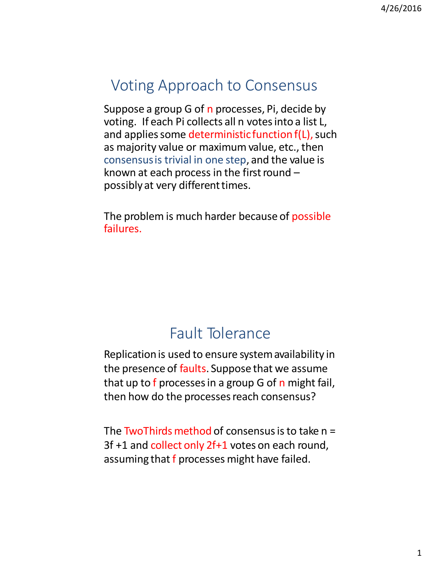# Voting Approach to Consensus

Suppose a group G of n processes, Pi, decide by voting. If each Pi collects all n votesinto a list L, and applies some deterministic function  $f(L)$ , such as majority value or maximum value, etc., then consensusis trivial in one step, and the value is known at each process in the first round  $$ possibly at very different times.

The problem is much harder because of possible failures.

## Fault Tolerance

Replication is used to ensure system availability in the presence of faults. Suppose that we assume that up to f processes in a group G of n might fail, then how do the processes reach consensus?

The TwoThirds method of consensus is to take  $n =$ 3f +1 and collect only 2f+1 votes on each round, assuming that f processes might have failed.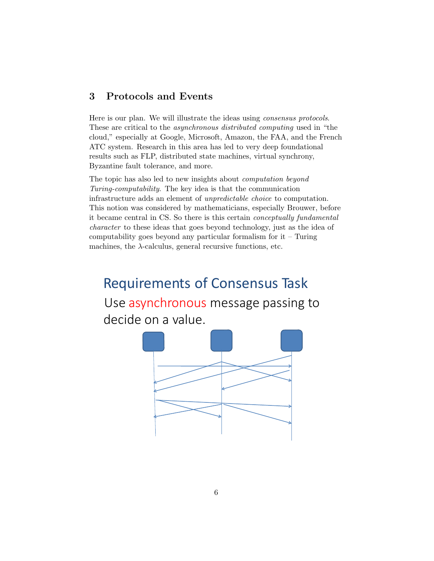#### 3 Protocols and Events

Here is our plan. We will illustrate the ideas using consensus protocols. These are critical to the asynchronous distributed computing used in "the cloud," especially at Google, Microsoft, Amazon, the FAA, and the French ATC system. Research in this area has led to very deep foundational results such as FLP, distributed state machines, virtual synchrony, Byzantine fault tolerance, and more.

The topic has also led to new insights about computation beyond Turing-computability. The key idea is that the communication infrastructure adds an element of unpredictable choice to computation. This notion was considered by mathematicians, especially Brouwer, before it became central in CS. So there is this certain conceptually fundamental character to these ideas that goes beyond technology, just as the idea of computability goes beyond any particular formalism for  $it$  – Turing machines, the  $\lambda$ -calculus, general recursive functions, etc.

#### Requirements of Consensus Task

Use asynchronous message passing to decide on a value.

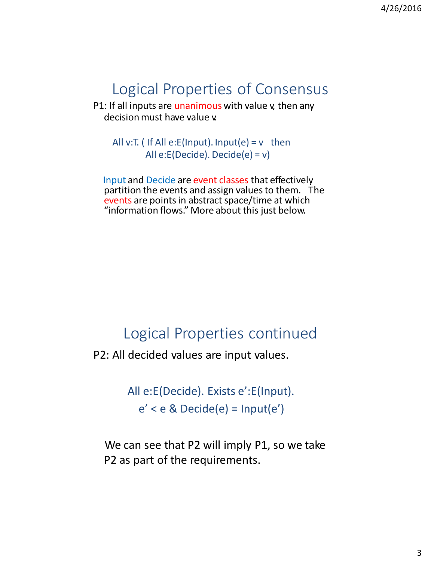# Logical Properties of Consensus

P1: If all inputs are unanimous with value v, then any decision must have value v.

All v:T. ( If All e:E(Input). Input(e) =  $v$  then All e:E(Decide). Decide(e) = v)

Input and Decide are event classes that effectively partition the events and assign valuesto them. The events are points in abstract space/time at which "information flows." More about this just below.

#### Logical Properties continued

P2: All decided values are input values.

All e:E(Decide). Exists e':E(Input).  $e' < e \&$  Decide(e) = Input(e')

We can see that P2 will imply P1, so we take P2 as part of the requirements.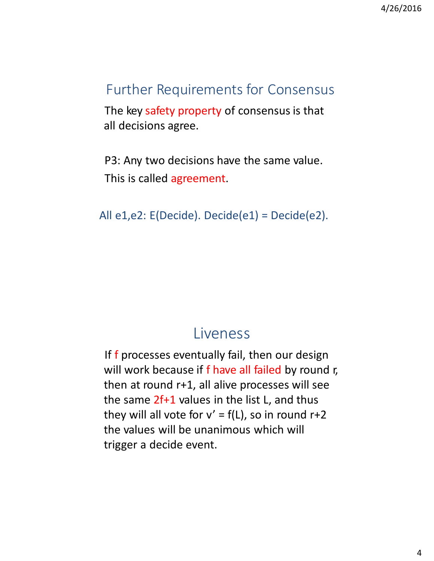#### Further Requirements for Consensus

The key safety property of consensus is that all decisions agree.

P3: Any two decisions have the same value. This is called agreement.

All e1,e2: E(Decide). Decide(e1) = Decide(e2).

#### Liveness

If f processes eventually fail, then our design will work because if f have all failed by round r, then at round r+1, all alive processes will see the same  $2f+1$  values in the list L, and thus they will all vote for  $v' = f(L)$ , so in round r+2 the values will be unanimous which will trigger a decide event.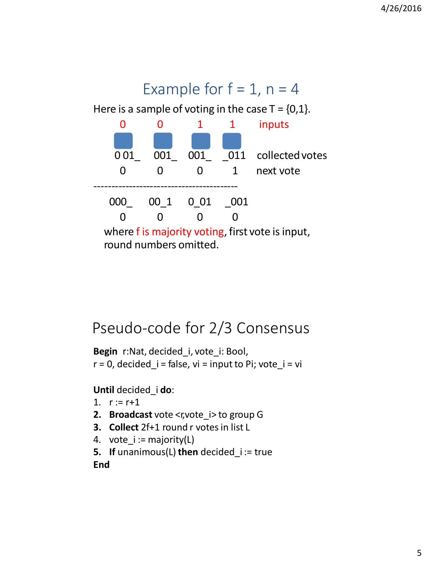

# Pseudo-code for 2/3 Consensus

**Begin** r:Nat, decided i, vote i: Bool,  $r = 0$ , decided  $i = false$ , vi = input to Pi; vote  $i = vi$ 

**Until** decided\_i **do**:

- 1.  $r := r + 1$
- **2.** Broadcast vote <r, vote i> to group G
- **3. Collect** 2f+1 round r votesin list L
- 4. vote  $i :=$  majority(L)
- **5. If** unanimous(L) **then** decided\_i := true **End**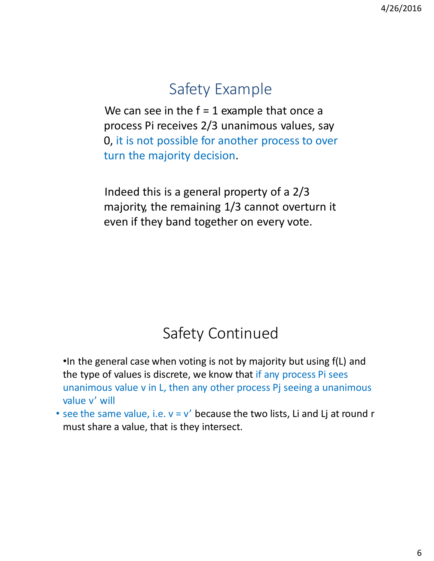# Safety Example

We can see in the  $f = 1$  example that once a process Pi receives 2/3 unanimous values, say 0, it is not possible for another process to over turn the majority decision.

Indeed this is a general property of a 2/3 majority, the remaining 1/3 cannot overturn it even if they band together on every vote.

# Safety Continued

•In the general case when voting is not by majority but using f(L) and the type of values is discrete, we know that if any process Pi sees unanimous value v in L, then any other process Pj seeing a unanimous value v' will

• see the same value, i.e.  $v = v'$  because the two lists, Li and Lj at round r must share a value, that is they intersect.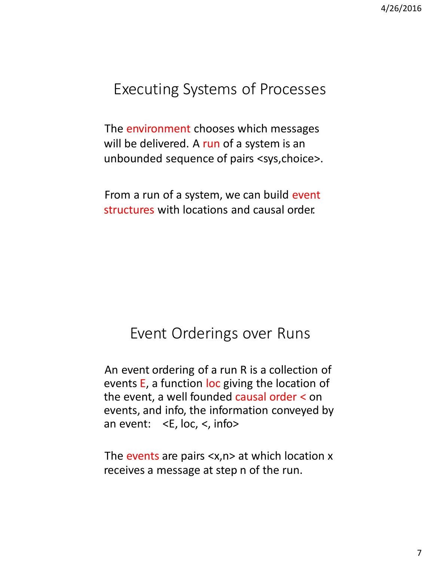## Executing Systems of Processes

The environment chooses which messages will be delivered. A run of a system is an unbounded sequence of pairs <sys,choice>.

From a run of a system, we can build event structures with locations and causal order.

#### Event Orderings over Runs

An event ordering of a run R is a collection of events E, a function loc giving the location of the event, a well founded causal order < on events, and info, the information conveyed by an event: < E, loc, <, info

The events are pairs  $\langle x, n \rangle$  at which location x receives a message at step n of the run.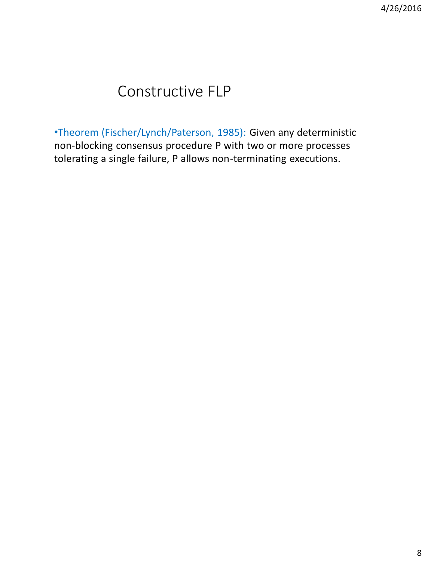## Constructive FLP

•Theorem (Fischer/Lynch/Paterson, 1985): Given any deterministic non-blocking consensus procedure P with two or more processes tolerating a single failure, P allows non-terminating executions.